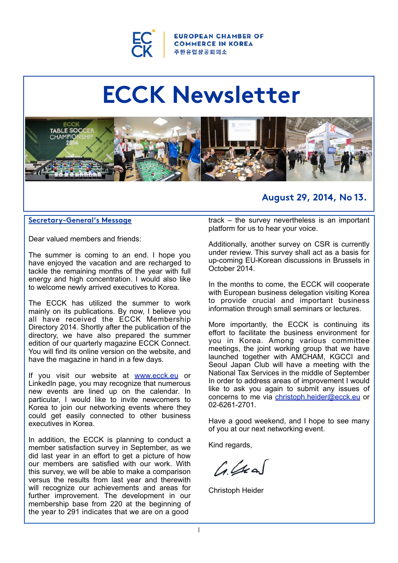

ROPEAN CHAMBER OF **COMMERCE IN KOREA** 주 한 유 럽 상 공 회 의 소

# **ECCK Newsletter**



## **August 29, 2014, No 13.**

#### **Secretary-General's Message**

Dear valued members and friends:

The summer is coming to an end. I hope you have enjoyed the vacation and are recharged to tackle the remaining months of the year with full energy and high concentration. I would also like to welcome newly arrived executives to Korea.

The ECCK has utilized the summer to work mainly on its publications. By now, I believe you all have received the ECCK Membership Directory 2014. Shortly after the publication of the directory, we have also prepared the summer edition of our quarterly magazine ECCK Connect. You will find its online version on the website, and have the magazine in hand in a few days.

If you visit our website at [www.ecck.eu](http://www.ecck.eu) or LinkedIn page, you may recognize that numerous new events are lined up on the calendar. In particular, I would like to invite newcomers to Korea to join our networking events where they could get easily connected to other business executives in Korea.

In addition, the ECCK is planning to conduct a member satisfaction survey in September, as we did last year in an effort to get a picture of how our members are satisfied with our work. With this survey, we will be able to make a comparison versus the results from last year and therewith will recognize our achievements and areas for further improvement. The development in our membership base from 220 at the beginning of the year to 291 indicates that we are on a good

track – the survey nevertheless is an important platform for us to hear your voice.

Additionally, another survey on CSR is currently under review. This survey shall act as a basis for up-coming EU-Korean discussions in Brussels in October 2014.

In the months to come, the ECCK will cooperate with European business delegation visiting Korea to provide crucial and important business information through small seminars or lectures.

More importantly, the ECCK is continuing its effort to facilitate the business environment for you in Korea. Among various committee meetings, the joint working group that we have launched together with AMCHAM, KGCCI and Seoul Japan Club will have a meeting with the National Tax Services in the middle of September In order to address areas of improvement I would like to ask you again to submit any issues of concerns to me via [christoph.heider@ecck.eu](mailto:christoph.heider@ecck.eu) or 02-6261-2701.

Have a good weekend, and I hope to see many of you at our next networking event.

Kind regards,

 $L_{\text{A}}$ 

Christoph Heider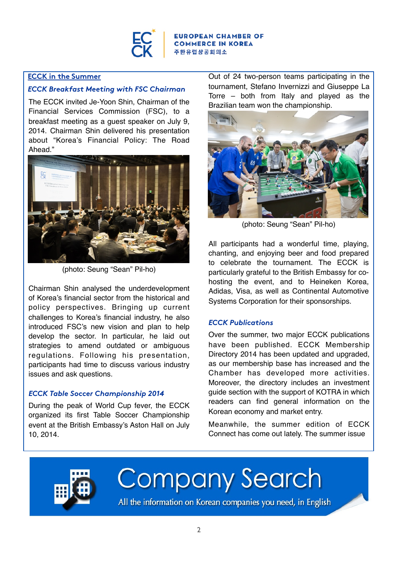

## **ECCK in the Summer**

## *ECCK Breakfast Meeting with FSC Chairman*

The ECCK invited Je-Yoon Shin, Chairman of the Financial Services Commission (FSC), to a breakfast meeting as a guest speaker on July 9, 2014. Chairman Shin delivered his presentation about "Korea's Financial Policy: The Road Ahead."



(photo: Seung "Sean" Pil-ho)

Chairman Shin analysed the underdevelopment of Korea's financial sector from the historical and policy perspectives. Bringing up current challenges to Korea's financial industry, he also introduced FSC's new vision and plan to help develop the sector. In particular, he laid out strategies to amend outdated or ambiguous regulations. Following his presentation, participants had time to discuss various industry issues and ask questions.

## *ECCK Table Soccer Championship 2014*

During the peak of World Cup fever, the ECCK organized its first Table Soccer Championship event at the British Embassy's Aston Hall on July 10, 2014.

Out of 24 two-person teams participating in the tournament, Stefano Invernizzi and Giuseppe La Torre – both from Italy and played as the Brazilian team won the championship.



(photo: Seung "Sean" Pil-ho)

All participants had a wonderful time, playing, chanting, and enjoying beer and food prepared to celebrate the tournament. The ECCK is particularly grateful to the British Embassy for cohosting the event, and to Heineken Korea, Adidas, Visa, as well as Continental Automotive Systems Corporation for their sponsorships.

## *ECCK Publications*

Over the summer, two major ECCK publications have been published. ECCK Membership Directory 2014 has been updated and upgraded, as our membership base has increased and the Chamber has developed more activities. Moreover, the directory includes an investment guide section with the support of KOTRA in which readers can find general information on the Korean economy and market entry.

Meanwhile, the summer edition of ECCK Connect has come out lately. The summer issue



Company Search